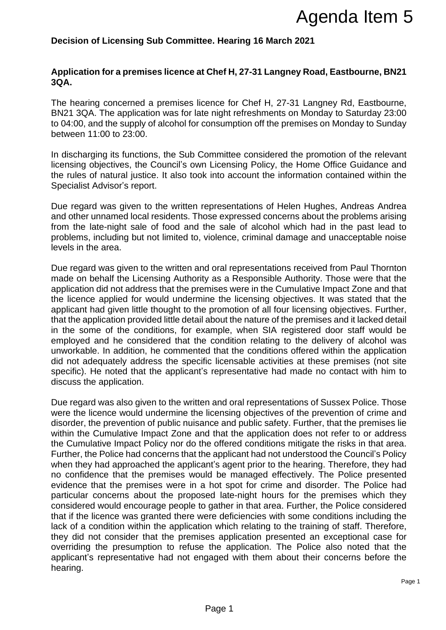## **Decision of Licensing Sub Committee. Hearing 16 March 2021**

### **Application for a premises licence at Chef H, 27-31 Langney Road, Eastbourne, BN21 3QA.**

The hearing concerned a premises licence for Chef H, 27-31 Langney Rd, Eastbourne, BN21 3QA. The application was for late night refreshments on Monday to Saturday 23:00 to 04:00, and the supply of alcohol for consumption off the premises on Monday to Sunday between 11:00 to 23:00.

In discharging its functions, the Sub Committee considered the promotion of the relevant licensing objectives, the Council's own Licensing Policy, the Home Office Guidance and the rules of natural justice. It also took into account the information contained within the Specialist Advisor's report.

Due regard was given to the written representations of Helen Hughes, Andreas Andrea and other unnamed local residents. Those expressed concerns about the problems arising from the late-night sale of food and the sale of alcohol which had in the past lead to problems, including but not limited to, violence, criminal damage and unacceptable noise levels in the area.

Due regard was given to the written and oral representations received from Paul Thornton made on behalf the Licensing Authority as a Responsible Authority. Those were that the application did not address that the premises were in the Cumulative Impact Zone and that the licence applied for would undermine the licensing objectives. It was stated that the applicant had given little thought to the promotion of all four licensing objectives. Further, that the application provided little detail about the nature of the premises and it lacked detail in the some of the conditions, for example, when SIA registered door staff would be employed and he considered that the condition relating to the delivery of alcohol was unworkable. In addition, he commented that the conditions offered within the application did not adequately address the specific licensable activities at these premises (not site specific). He noted that the applicant's representative had made no contact with him to discuss the application.

Due regard was also given to the written and oral representations of Sussex Police. Those were the licence would undermine the licensing objectives of the prevention of crime and disorder, the prevention of public nuisance and public safety. Further, that the premises lie within the Cumulative Impact Zone and that the application does not refer to or address the Cumulative Impact Policy nor do the offered conditions mitigate the risks in that area. Further, the Police had concerns that the applicant had not understood the Council's Policy when they had approached the applicant's agent prior to the hearing. Therefore, they had no confidence that the premises would be managed effectively. The Police presented evidence that the premises were in a hot spot for crime and disorder. The Police had particular concerns about the proposed late-night hours for the premises which they considered would encourage people to gather in that area. Further, the Police considered that if the licence was granted there were deficiencies with some conditions including the lack of a condition within the application which relating to the training of staff. Therefore, they did not consider that the premises application presented an exceptional case for overriding the presumption to refuse the application. The Police also noted that the applicant's representative had not engaged with them about their concerns before the hearing. **Agenda Item 5**<br>**Agenda Item 5**<br>**Check H, 27-31 Langney Road, Eastbourne, BN21**<br>Chef H, 27-31 Langney Road, Eastbourne, BN21<br>
ence for Chef H, 27-31 Langney Road, Eastbourne, BN21<br>
ence for Chef H, 27-31 Langney Road, East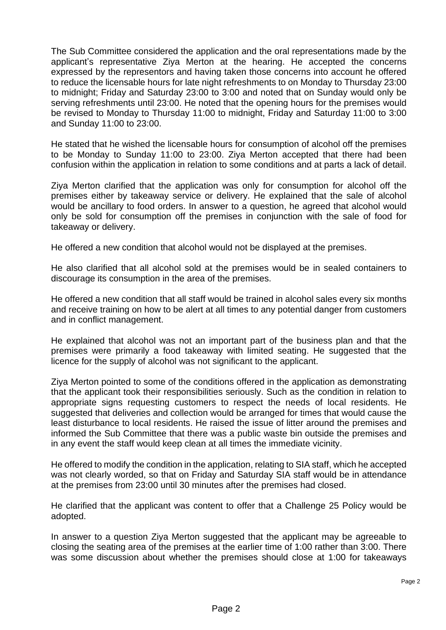The Sub Committee considered the application and the oral representations made by the applicant's representative Ziya Merton at the hearing. He accepted the concerns expressed by the representors and having taken those concerns into account he offered to reduce the licensable hours for late night refreshments to on Monday to Thursday 23:00 to midnight; Friday and Saturday 23:00 to 3:00 and noted that on Sunday would only be serving refreshments until 23:00. He noted that the opening hours for the premises would be revised to Monday to Thursday 11:00 to midnight, Friday and Saturday 11:00 to 3:00 and Sunday 11:00 to 23:00.

He stated that he wished the licensable hours for consumption of alcohol off the premises to be Monday to Sunday 11:00 to 23:00. Ziya Merton accepted that there had been confusion within the application in relation to some conditions and at parts a lack of detail.

Ziya Merton clarified that the application was only for consumption for alcohol off the premises either by takeaway service or delivery. He explained that the sale of alcohol would be ancillary to food orders. In answer to a question, he agreed that alcohol would only be sold for consumption off the premises in conjunction with the sale of food for takeaway or delivery.

He offered a new condition that alcohol would not be displayed at the premises.

He also clarified that all alcohol sold at the premises would be in sealed containers to discourage its consumption in the area of the premises.

He offered a new condition that all staff would be trained in alcohol sales every six months and receive training on how to be alert at all times to any potential danger from customers and in conflict management.

He explained that alcohol was not an important part of the business plan and that the premises were primarily a food takeaway with limited seating. He suggested that the licence for the supply of alcohol was not significant to the applicant.

Ziya Merton pointed to some of the conditions offered in the application as demonstrating that the applicant took their responsibilities seriously. Such as the condition in relation to appropriate signs requesting customers to respect the needs of local residents. He suggested that deliveries and collection would be arranged for times that would cause the least disturbance to local residents. He raised the issue of litter around the premises and informed the Sub Committee that there was a public waste bin outside the premises and in any event the staff would keep clean at all times the immediate vicinity.

He offered to modify the condition in the application, relating to SIA staff, which he accepted was not clearly worded, so that on Friday and Saturday SIA staff would be in attendance at the premises from 23:00 until 30 minutes after the premises had closed.

He clarified that the applicant was content to offer that a Challenge 25 Policy would be adopted.

In answer to a question Ziya Merton suggested that the applicant may be agreeable to closing the seating area of the premises at the earlier time of 1:00 rather than 3:00. There was some discussion about whether the premises should close at 1:00 for takeaways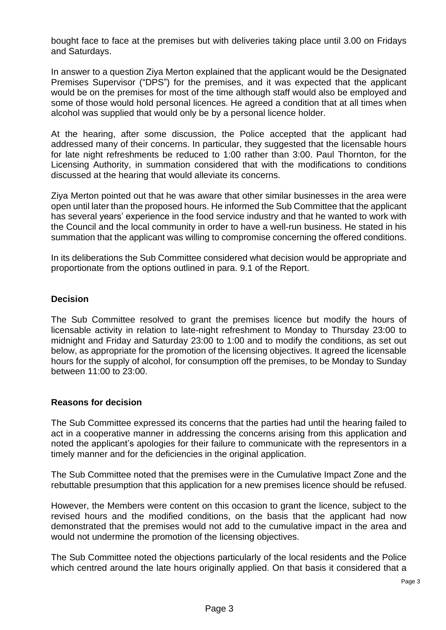bought face to face at the premises but with deliveries taking place until 3.00 on Fridays and Saturdays.

In answer to a question Ziya Merton explained that the applicant would be the Designated Premises Supervisor ("DPS") for the premises, and it was expected that the applicant would be on the premises for most of the time although staff would also be employed and some of those would hold personal licences. He agreed a condition that at all times when alcohol was supplied that would only be by a personal licence holder.

At the hearing, after some discussion, the Police accepted that the applicant had addressed many of their concerns. In particular, they suggested that the licensable hours for late night refreshments be reduced to 1:00 rather than 3:00. Paul Thornton, for the Licensing Authority, in summation considered that with the modifications to conditions discussed at the hearing that would alleviate its concerns.

Ziya Merton pointed out that he was aware that other similar businesses in the area were open until later than the proposed hours. He informed the Sub Committee that the applicant has several years' experience in the food service industry and that he wanted to work with the Council and the local community in order to have a well-run business. He stated in his summation that the applicant was willing to compromise concerning the offered conditions.

In its deliberations the Sub Committee considered what decision would be appropriate and proportionate from the options outlined in para. 9.1 of the Report.

## **Decision**

The Sub Committee resolved to grant the premises licence but modify the hours of licensable activity in relation to late-night refreshment to Monday to Thursday 23:00 to midnight and Friday and Saturday 23:00 to 1:00 and to modify the conditions, as set out below, as appropriate for the promotion of the licensing objectives. It agreed the licensable hours for the supply of alcohol, for consumption off the premises, to be Monday to Sunday between 11:00 to 23:00.

### **Reasons for decision**

The Sub Committee expressed its concerns that the parties had until the hearing failed to act in a cooperative manner in addressing the concerns arising from this application and noted the applicant's apologies for their failure to communicate with the representors in a timely manner and for the deficiencies in the original application.

The Sub Committee noted that the premises were in the Cumulative Impact Zone and the rebuttable presumption that this application for a new premises licence should be refused.

However, the Members were content on this occasion to grant the licence, subject to the revised hours and the modified conditions, on the basis that the applicant had now demonstrated that the premises would not add to the cumulative impact in the area and would not undermine the promotion of the licensing objectives.

The Sub Committee noted the objections particularly of the local residents and the Police which centred around the late hours originally applied. On that basis it considered that a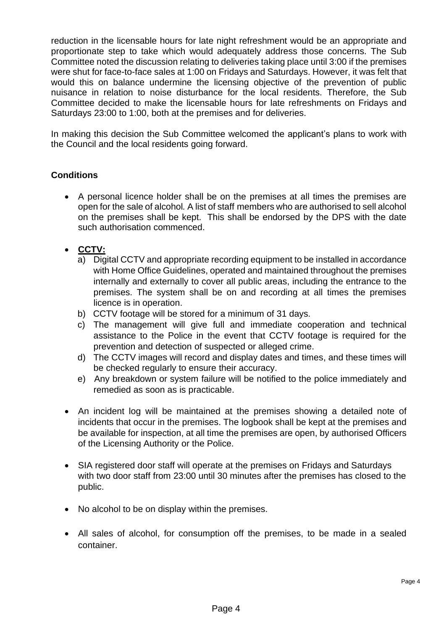reduction in the licensable hours for late night refreshment would be an appropriate and proportionate step to take which would adequately address those concerns. The Sub Committee noted the discussion relating to deliveries taking place until 3:00 if the premises were shut for face-to-face sales at 1:00 on Fridays and Saturdays. However, it was felt that would this on balance undermine the licensing objective of the prevention of public nuisance in relation to noise disturbance for the local residents. Therefore, the Sub Committee decided to make the licensable hours for late refreshments on Fridays and Saturdays 23:00 to 1:00, both at the premises and for deliveries.

In making this decision the Sub Committee welcomed the applicant's plans to work with the Council and the local residents going forward.

# **Conditions**

- A personal licence holder shall be on the premises at all times the premises are open for the sale of alcohol*.* A list of staff members who are authorised to sell alcohol on the premises shall be kept. This shall be endorsed by the DPS with the date such authorisation commenced.
- **CCTV:**
	- a) Digital CCTV and appropriate recording equipment to be installed in accordance with Home Office Guidelines, operated and maintained throughout the premises internally and externally to cover all public areas, including the entrance to the premises. The system shall be on and recording at all times the premises licence is in operation.
	- b) CCTV footage will be stored for a minimum of 31 days.
	- c) The management will give full and immediate cooperation and technical assistance to the Police in the event that CCTV footage is required for the prevention and detection of suspected or alleged crime.
	- d) The CCTV images will record and display dates and times, and these times will be checked regularly to ensure their accuracy.
	- e) Any breakdown or system failure will be notified to the police immediately and remedied as soon as is practicable.
- An incident log will be maintained at the premises showing a detailed note of incidents that occur in the premises. The logbook shall be kept at the premises and be available for inspection, at all time the premises are open, by authorised Officers of the Licensing Authority or the Police.
- SIA registered door staff will operate at the premises on Fridays and Saturdays with two door staff from 23:00 until 30 minutes after the premises has closed to the public.
- No alcohol to be on display within the premises.
- All sales of alcohol, for consumption off the premises, to be made in a sealed container.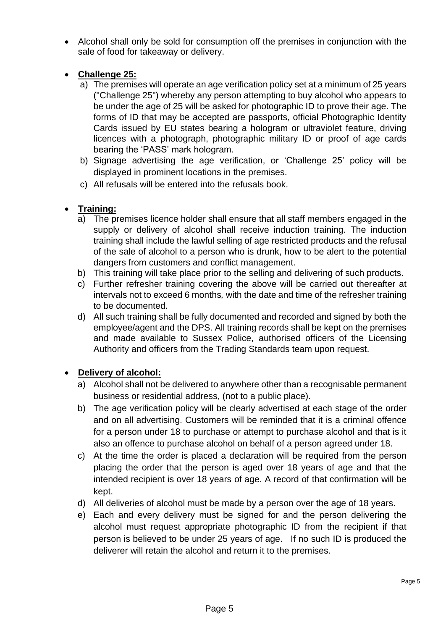• Alcohol shall only be sold for consumption off the premises in conjunction with the sale of food for takeaway or delivery.

## • **Challenge 25:**

- a) The premises will operate an age verification policy set at a minimum of 25 years ("Challenge 25") whereby any person attempting to buy alcohol who appears to be under the age of 25 will be asked for photographic ID to prove their age. The forms of ID that may be accepted are passports, official Photographic Identity Cards issued by EU states bearing a hologram or ultraviolet feature, driving licences with a photograph, photographic military ID or proof of age cards bearing the 'PASS' mark hologram.
- b) Signage advertising the age verification, or 'Challenge 25' policy will be displayed in prominent locations in the premises.
- c) All refusals will be entered into the refusals book.

# • **Training:**

- a) The premises licence holder shall ensure that all staff members engaged in the supply or delivery of alcohol shall receive induction training. The induction training shall include the lawful selling of age restricted products and the refusal of the sale of alcohol to a person who is drunk, how to be alert to the potential dangers from customers and conflict management.
- b) This training will take place prior to the selling and delivering of such products.
- c) Further refresher training covering the above will be carried out thereafter at intervals not to exceed 6 months*,* with the date and time of the refresher training to be documented.
- d) All such training shall be fully documented and recorded and signed by both the employee/agent and the DPS. All training records shall be kept on the premises and made available to Sussex Police, authorised officers of the Licensing Authority and officers from the Trading Standards team upon request.

# • **Delivery of alcohol:**

- a) Alcohol shall not be delivered to anywhere other than a recognisable permanent business or residential address, (not to a public place).
- b) The age verification policy will be clearly advertised at each stage of the order and on all advertising. Customers will be reminded that it is a criminal offence for a person under 18 to purchase or attempt to purchase alcohol and that is it also an offence to purchase alcohol on behalf of a person agreed under 18.
- c) At the time the order is placed a declaration will be required from the person placing the order that the person is aged over 18 years of age and that the intended recipient is over 18 years of age. A record of that confirmation will be kept.
- d) All deliveries of alcohol must be made by a person over the age of 18 years.
- e) Each and every delivery must be signed for and the person delivering the alcohol must request appropriate photographic ID from the recipient if that person is believed to be under 25 years of age. If no such ID is produced the deliverer will retain the alcohol and return it to the premises.